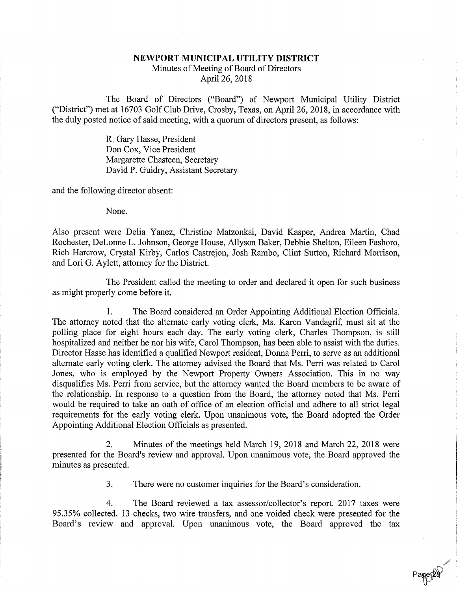## NEWPORT MUNICIPAL UTILITY DISTRICT

Minutes of Meeting of Board of DirectorsApril 26, 2018

The Board of Directors ("Board") of Newport Municipal Utility District ("District") met at 16703 Golf Club Drive, Crosby, Texas, on April 26, 2018, in accordance withthe duly posted notice of said meeting, with a quorum of directors present, as follows:

> R. Gary Hasse, President Don Cox, Vice President Margarette Chasteen, SecretaryDavid P. Guidry, Assistant Secretary

and the following director absent:

None.

Also present were Delia Yanez, Christine Matzonkai, David Kasper, Andrea Martin, Chad Rochester, DeLonne L. Johnson, George House, Allyson Baker, Debbie Shelton, Eileen Fashoro, Rich Harcrow, Crystal Kirby, Carlos Castrejon, Josh Rambo, Clint Sutton, Richard Morrison,and Lori G. Aylett, attorney for the District.

The President called the meeting to order and declared it open for such businessas might properly come before it.

1. The Board considered an Order Appointing Additional Election Officials. The attorney noted that the alternate early voting clerk, Ms. Karen Vandagrif, must sit at the polling place for eight hours each day. The early voting clerk, Charles Thompson, is still hospitalized and neither he nor his wife, Carol Thompson, has been able to assist with the duties. Director Hasse has identified a qualified Newport resident, Donna Perri, to serve as an additionalalternate early voting clerk. The attorney advised the Board that Ms. Perri was related to Caro Jones, who is employed by the Newport Property Owners Association. This in no way disqualifies Ms. Perri from service, but the attorney wanted the Board members to be aware of the relationship. In response to a question from the Board, the attorney noted that Ms. Perriwould be required to take an oath of office of an election official and adhere to all strict lega requirements for the early voting clerk. Upon unanimous vote, the Board adopted the Orde Appointing Additional Election Officials as presented.

2. Minutes of the meetings held March 19, 2018 and March 22, 2018 were presented for the Board's review and approval. Upon unanimous vote, the Board approved theminutes as presented.

3. There were no customer inquiries for the Board's consideration.

4. The Board reviewed a tax assessor/collector's report. 2017 taxes were 95.35% collected. 13 checks, two wire transfers, and one voided check were presented for theBoard's review and approval. Upon unanimous vote, the Board approved the tax

Page 28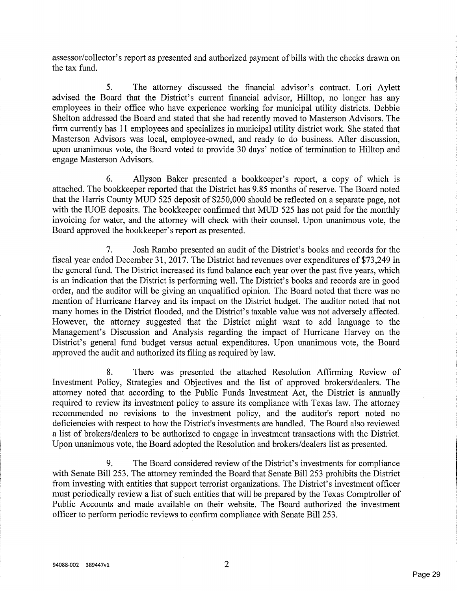assessor/collector's report as presented and authorized payment of bills with the checks drawn onthe tax fund.

5. The attorney discussed the financial advisor's contract. Lori Aylett advised the Board that the District's current financial advisor, Hilltop, no longer has any employees in their office who have experience working for municipal utility districts. Debbie Shelton addressed the Board and stated that she had recently moved to Masterson Advisors. The firm currently has 11 employees and specializes in municipal utility district work. She stated that Masterson Advisors was local, employee-owned, and ready to do business. After discussion,upon unanimous vote, the Board voted to provide 30 days' notice of termination to Hilltop and engage Masterson Advisors.

6. Allyson Baker presented a bookkeeper's report, a copy of which isattached. The bookkeeper reported that the District has 9.85 months of reserve. The Board noted that the Harris County MUD 525 deposit of \$250,000 should be reflected on a separate page, not with the IUOE deposits. The bookkeeper confirmed that MUD 525 has not paid for the monthly invoicing for water, and the attorney will check with their counsel. Upon unanimous vote, theBoard approved the bookkeeper's report as presented.

7. Josh Rambo presented an audit of the District's books and records for the fiscal year ended December 31, 2017. The District had revenues over expenditures of \$73,249 in the general fund. The District increased its fund balance each year over the past five years, which is an indication that the District is performing well. The District's books and records are in goodorder, and the auditor will be giving an unqualified opinion. The Board noted that there was no mention of Hurricane Harvey and its impact on the District budget. The auditor noted that not many homes in the District flooded, and the District's taxable value was not adversely affected. However, the attorney suggested that the District might want to add language to the Management's Discussion and Analysis regarding the impact of Hurricane Harvey on the District's general fund budget versus actual expenditures. Upon unanimous vote, the Boardapproved the audit and authorized its filing as required by law.

8. There was presented the attached Resolution Affirming Review of Investment Policy, Strategies and Objectives and the list of approved brokers/dealers. The attorney noted that according to the Public Funds Investment Act, the District is annually required to review its investment policy to assure its compliance with Texas law. The attorney recommended no revisions to the investment policy, and the auditor's report noted no deficiencies with respect to how the District's investments are handled. The Board also reviewed a list of brokers/dealers to be authorized to engage in investment transactions with the District.Upon unanimous vote, the Board adopted the Resolution and brokers/dealers list as presented.

9. The Board considered review of the District's investments for compliance with Senate Bill 253. The attorney reminded the Board that Senate Bill 253 prohibits the Districtfrom investing with entities that support terrorist organizations. The District's investment office must periodically review a list of such entities that will be prepared by the Texas Comptroller ofPublic Accounts and made available on their website. The Board authorized the investment officer to perform periodic reviews to confirm compliance with Senate Bill 253.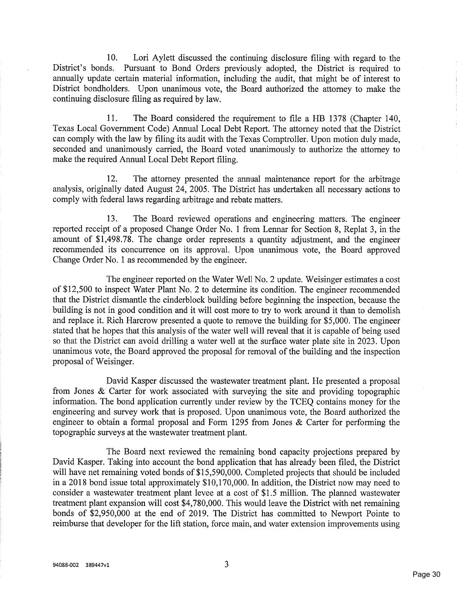10. Lori Aylett discussed the continuing disclosure filing with regard to the District's bonds. Pursuant to Bond Orders previously adopted, the District is required to annually update certain material information, including the audit, that might be of interest to District bondholders. Upon unanimous vote, the Board authorized the attorney to make thecontinuing disclosure filing as required by law.

11. The Board considered the requirement to file a HB 1378 (Chapter 140, Texas Local Government Code) Annual Local Debt Report. The attorney noted that the District can comply with the law by filing its audit with the Texas Comptroller. Upon motion duly made, seconded and unanimously carried, the Board voted unanimously to authorize the attorney tomake the required Annual Local Debt Report filing.

12. The attorney presented the annual maintenance report for the arbitrage analysis, originally dated August 24, 2005. The District has undertaken all necessary actions tocomply with federal laws regarding arbitrage and rebate matters.

13. The Board reviewed operations and engineering matters. The engineer reported receipt of a proposed Change Order No. 1 from Lennar for Section 8, Replat 3, in theamount of \$1,498.78. The change order represents a quantity adjustment, and the engineer recommended its concurrence on its approval. Upon unanimous vote, the Board approvedChange Order No. 1 as recommended by the engineer.

The engineer reported on the Water Well No. 2 update. Weisinger estimates a cost of \$12,500 to inspect Water Plant No. 2 to determine its condition. The engineer recommended that the District dismantle the cinderblock building before beginning the inspection, because the building is not in good condition and it will cost more to try to work around it than to demolish and replace it. Rich Harcrow presented a quote to remove the building for \$5,000. The engineerstated that he hopes that this analysis of the water well will reveal that it is capable of being used so that the District can avoid drilling a water well at the surface water plate site in 2023. Upon unanimous vote, the Board approved the proposal for removal of the building and the inspectionproposal of Weisinger.

David Kasper discussed the wastewater treatment plant. He presented a proposal from Jones & Carter for work associated with surveying the site and providing topographic information. The bond application currently under review by the TCEQ contains money for the engineering and survey work that is proposed. Upon unanimous vote, the Board authorized the engineer to obtain a formal proposal and Form 1295 from Jones & Carter for performing thetopographic surveys at the wastewater treatment plant.

The Board next reviewed the remaining bond capacity projections prepared byDavid Kasper. Taking into account the bond application that has already been filed, the Distric will have net remaining voted bonds of \$15,590,000. Completed projects that should be included in a 2018 bond issue total approximately \$10,170,000. In addition, the District now may need to consider a wastewater treatment plant levee at a cost of \$1.5 million. The planned wastewater treatment plant expansion will cost \$4,780,000. This would leave the District with net remaining bonds of \$2,950,000 at the end of 2019. The District has committed to Newport Pointe toreimburse that developer for the lift station, force main, and water extension improvements using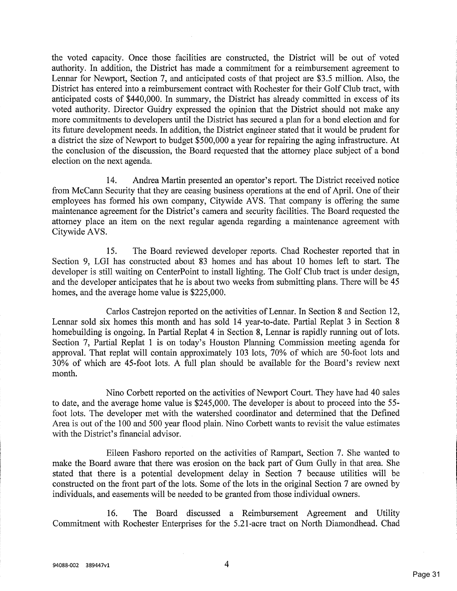the voted capacity. Once those facilities are constructed, the District will be out of voted authority. In addition, the District has made a commitment for a reimbursement agreement to Lennar for Newport, Section 7, and anticipated costs of that project are \$3.5 million. Also, the District has entered into a reimbursement contract with Rochester for their Golf Club tract, withanticipated costs of \$440,000. In summary, the District has already committed in excess of it voted authority. Director Guidry expressed the opinion that the District should not make any more commitments to developers until the District has secured a plan for a bond election and forits future development needs. In addition, the District engineer stated that it would be prudent for a district the size of Newport to budget \$500,000 a year for repairing the aging infrastructure. A the conclusion of the discussion, the Board requested that the attorney place subject of a bond election on the next agenda.

14. Andrea Martin presented an operator's report. The District received noticefrom McCann Security that they are ceasing business operations at the end of April. One of their employees has formed his own company, Citywide AVS. That company is offering the same maintenance agreement for the District's camera and security facilities. The Board requested the attorney place an item on the next regular agenda regarding a maintenance agreement withCitywideAVS.

15. The Board reviewed developer reports. Chad Rochester reported that in Section 9, LGI has constructed about 83 homes and has about 10 homes left to start. The developer is still waiting on CenterPoint to install lighting. The Golf Club tract is under design,and the developer anticipates that he is about two weeks from submitting plans. There will be 4: homes, and the average home value is \$225,000.

Carlos Castrejon reported on the activities of Lennar. In Section 8 and Section 12, Lennar sold six homes this month and has sold 14 year-to-date. Partial Replat 3 in Section 8 homebuilding is ongoing. In Partial Replat 4 in Section 8, Lennar is rapidly running out of lots. Section 7, Partial Replat 1 is on today's Houston Planning Commission meeting agenda for approval. That replat will contain approximately 103 lots, 70% of which are 50-foot lots and 30% of which are 45-foot lots. A full plan should be available for the Board's review nextmonth.

Nino Corbett reported on the activities of Newport Court. They have had 40 sales to date, and the average home value is \$245,000. The developer is about to proceed into the 55 foot lots. The developer met with the watershed coordinator and determined that the DefinedArea is out of the 100 and 500 year flood plain. Nino Corbett wants to revisit the value estimate with the District's financial advisor.

Eileen Fashoro reported on the activities of Rampart, Section 7. She wanted to make the Board aware that there was erosion on the back part of Gum Gully in that area. She stated that there is a potential development delay in Section 7 because utilities will be constructed on the front part of the lots. Some of the lots in the original Section 7 are owned byindividuals, and easements will be needed to be granted from those individual owners.

16. The Board discussed a Reimbursement Agreement and UtilityCommitment with Rochester Enterprises for the 5.21-acre tract on North Diamondhead. Chad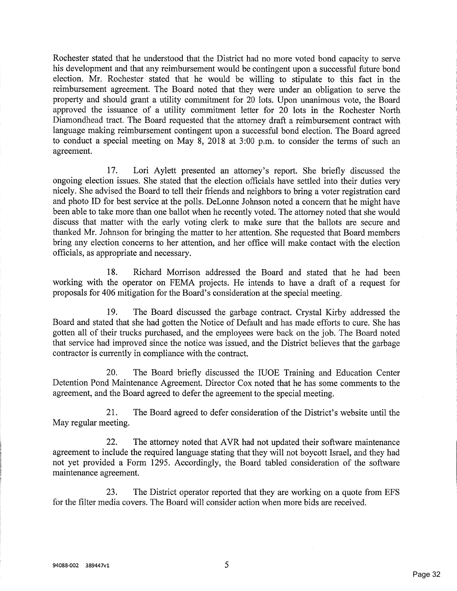Rochester stated that he understood that the District had no more voted bond capacity to servehis development and that any reimbursement would be contingent upon a successful future bond election. Mr. Rochester stated that he would be willing to stipulate to this fact in the reimbursement agreement. The Board noted that they were under an obligation to serve the property and should grant a utility commitment for 20 lots. Upon unanimous vote, the Board approved the issuance of a utility commitment letter for 20 lots in the Rochester North Diamondhead tract. The Board requested that the attorney draft a reimbursement contract with language making reimbursement contingent upon a successful bond election. The Board agreed to conduct a special meeting on May 8, 2018 at 3:00 p.m. to consider the terms of such anagreement.

17. Lori Aylett presented an attorney's report. She briefly discussed the ongoing election issues. She stated that the election officials have settled into their duties very nicely. She advised the Board to tell their friends and neighbors to bring a voter registration card and photo ID for best service at the polls. DeLonne Johnson noted a concern that he might havebeen able to take more than one ballot when he recently voted. The attorney noted that she would discuss that matter with the early voting clerk to make sure that the ballots are secure and thanked Mr. Johnson for bringing the matter to her attention. She requested that Board members bring any election concerns to her attention, and her office will make contact with the electionofficials, as appropriate and necessary.

18. Richard Morrison addressed the Board and stated that he had been working with the operator on FEMA projects. He intends to have a draft of a request forproposals for 406 mitigation for the Board's consideration at the special meeting.

19. The Board discussed the garbage contract. Crystal Kirby addressed the Board and stated that she had gotten the Notice of Default and has made efforts to cure. She has gotten all of their trucks purchased, and the employees were back on the job. The Board noted that service had improved since the notice was issued, and the District believes that the garbagecontractor is currently in compliance with the contract.

20. The Board briefly discussed the IUOE Training and Education Center Detention Pond Maintenance Agreement. Director Cox noted that he has some comments to theagreement, and the Board agreed to defer the agreement to the special meeting.

21. The Board agreed to defer consideration of the District's website until theMay regular meeting.

22. The attorney noted that AVR had not updated their software maintenanceagreement to include the required language stating that they will not boycott Israel, and they had not yet provided a Form 1295. Accordingly, the Board tabled consideration of the softwaremaintenance agreement.

23. The District operator reported that they are working on a quote from EPSfor the filter media covers. The Board will consider action when more bids are received.